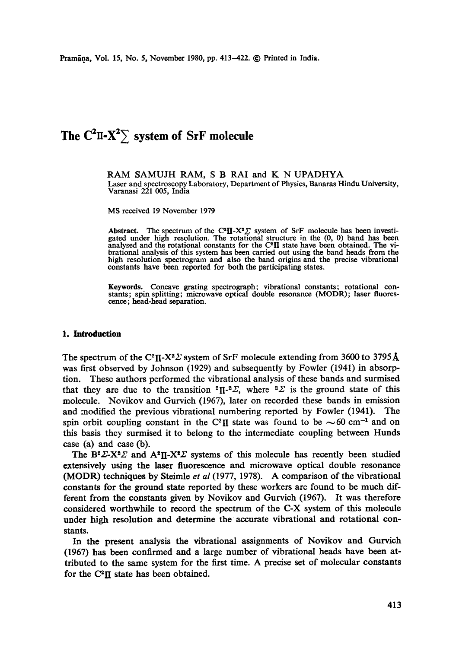# The  $C^2 \mathbb{I}-X^2$  system of SrF molecule

RAM SAMUJH RAM, S B RAI and K N UPADHYA Laser and spectroscopy Laboratory, Department of Physics, Banaras Hindu University, Varanasi 221 005, India

MS received 19 November 1979

Abstract. The spectrum of the C<sup>\*</sup>II-X<sup>\*</sup> $\Sigma$  system of SrF molecule has been investigated under high resolution. The rotational structure in the  $(0, 0)$  band has been analysed and the rotational constants for the  $C<sup>2</sup>\Pi$  state have been obtained. The vibrational analysis of this system has been carried out using the band heads from the high resolution spectrogram and also the band origins and the precise vibrational constants have been reported for both the participating states.

Keywords. Concave grating spectrograph; vibrational constants; rotational constants; spin splitting; microwave optical double resonance (MODR); laser fluorescence; head-head separation.

# **1. Introduction**

The spectrum of the C<sup>2</sup>II-X<sup>2</sup> $\sum$  system of SrF molecule extending from 3600 to 3795 $\AA$ . was first observed by Johnson (1929) and subsequently by Fowler (1941) in absorption. These authors performed the vibrational analysis of these bands and surmised that they are due to the transition  ${}^2\Pi - {}^2\Sigma$ , where  ${}^2\Sigma$  is the ground state of this molecule. Novikov and Gurvich (1967), later on recorded these bands in emission and modified the previous vibrational numbering reported by Fowler (1941). The spin orbit coupling constant in the C<sup>2</sup>II state was found to be  $\sim 60 \text{ cm}^{-1}$  and on this basis they surmised it to belong to the intermediate coupling between Hunds case (a) and case (b).

The B<sup>2</sup> $\Sigma$ -X<sup>2</sup> $\Sigma$  and A<sup>2</sup>II-X<sup>2</sup> $\Sigma$  systems of this molecule has recently been studied extensively using the laser fluorescence and microwave optical double resonance (MODR) techniques by Steimle *et al* (1977, 1978). A comparison of the vibrational constants for the ground state reported by these workers are found to be much different from the constants given by Novikov and Gurvich (1967). It was therefore considered worthwhile to record the spectrum of the C-X system of this molecule under high resolution and determine the accurate vibrational and rotational constants.

In the present analysis the vibrational assignments of Novikov and Gurvich (1967) has been confirmed and a large number of vibrational heads have been attributed to the same system for the first time. A precise set of molecular constants for the  $C^2\Pi$  state has been obtained.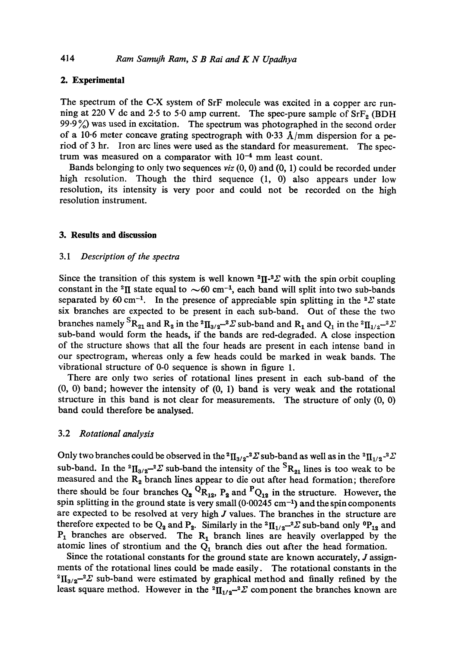## **2. Experimental**

The spectrum of the C-X system of SrF molecule was excited in a copper arc running at 220 V dc and 2.5 to 5.0 amp current. The spec-pure sample of  $S$ rF<sub>s</sub> (BDH) 99.9%) was used in excitation. The spectrum was photographed in the second order of a 10-6 meter concave grating spectrograph with 0.33  $\AA$ /mm dispersion for a period of 3 hr. Iron arc lines were used as the standard for measurement. The spectrum was measured on a comparator with  $10^{-4}$  mm least count.

Bands belonging to only two sequences *viz* (0, 0) and (0, 1) could be recorded under high resolution. Though the third sequence (1, 0) also appears under low resolution, its intensity is very poor and could not be recorded on the high resolution instrument.

#### **3. Results and discussion**

## *3.1 Description of the spectra*

Since the transition of this system is well known  ${}^{2}H {}^{2}D$  with the spin orbit coupling constant in the <sup>2</sup>II state equal to  $\sim 60$  cm<sup>-1</sup>, each band will split into two sub-bands separated by 60 cm<sup>-1</sup>. In the presence of appreciable spin splitting in the  ${}^{2}\Sigma$  state six branches are expected to be present in each sub-band. Out of these the two branches namely  ${}^S\!R_{21}$  and  $R_2$  in the  ${}^2\Pi_{3/2}$  ${}^{-2}\mathcal{L}$  sub-band and  $R_1$  and  $Q_1$  in the  ${}^2\Pi_{1/2}$  ${}^{-2}\mathcal{L}$ sub-band would form the heads, if the bands are red-degraded. A close inspection of the structure shows that all the four heads are present in each intense band in our spectrogram, whereas only a few heads could be marked in weak bands. The vibrational structure of 0-0 sequence is shown in figure 1.

There are only two series of rotational lines present in each sub-band of the (0, 0) band; however the intensity of (0, 1) band is very weak and the rotational structure in this band is not clear for measurements. The structure of only (0, 0) band could therefore be analysed.

### 3.2 *Rotational analysis*

Only two branches could be observed in the  ${}^2\Pi_{3/2}$ - ${}^2\Sigma$  sub-band as well as in the  ${}^2\Pi_{1/2}$ - ${}^2\Sigma$ sub-band. In the <sup>2</sup>II<sub>3/2</sub><sup>-2</sup>  $\sum$  sub-band the intensity of the <sup>S</sup>R<sub>21</sub> lines is too weak to be measured and the  $R_2$  branch lines appear to die out after head formation; therefore there should be four branches  $Q_2 \times R_{12}$ ,  $P_2$  and  ${}^FQ_{12}$  in the structure. However, the spin splitting in the ground state is very small  $(0.00245 \text{ cm}^{-1})$  and the spin components are expected to be resolved at very high J values. The branches in the structure are therefore expected to be  $Q_2$  and  $P_2$ . Similarly in the  ${}^2\Pi_{1/2}{}^{-2}\mathcal{L}$  sub-band only  ${}^0P_{12}$  and  $P_1$  branches are observed. The  $R_1$  branch lines are heavily overlapped by the atomic lines of strontium and the  $Q_1$  branch dies out after the head formation.

Since the rotational constants for the ground state are known accurately, J assignments of the rotational lines could be made easily. The rotational constants in the  $^{2}$ II<sub>3/2</sub><sup>-2</sup> $\chi$  sub-band were estimated by graphical method and finally refined by the least square method. However in the  ${}^2\Pi_{1/2}{}^{-2}\mathcal{Z}$  component the branches known are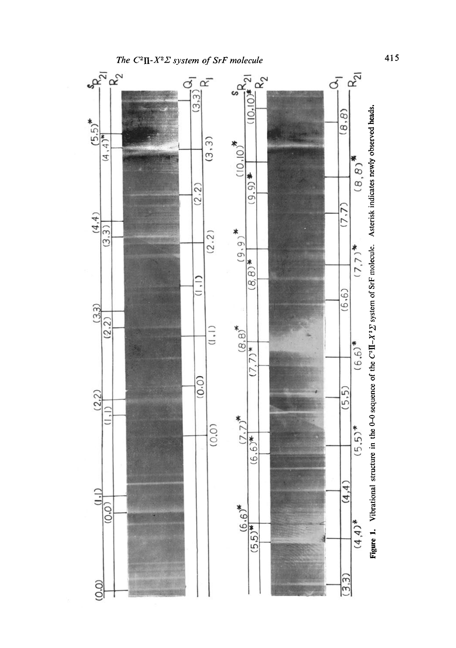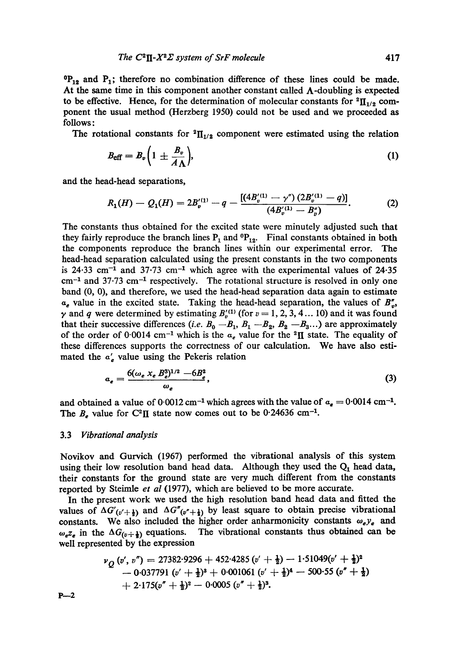${}^{0}P_{12}$  and  $P_1$ ; therefore no combination difference of these lines could be made. At the same time in this component another constant called  $\Lambda$ -doubling is expected to be effective. Hence, for the determination of molecular constants for  ${}^2\Pi_{1/2}$  component the usual method (Herzberg 1950) could not be used and we proceeded as follows:

The rotational constants for  ${}^{2}$ II<sub>1/2</sub> component were estimated using the relation

$$
B_{\text{eff}} = B_v \bigg( 1 \pm \frac{B_v}{A \Lambda} \bigg), \tag{1}
$$

and the head-head separations,

$$
R_1(H) - Q_1(H) = 2B_p^{'(1)} - q - \frac{[(4B_p^{'(1)} - \gamma'') (2B_p^{'(1)} - q)]}{(4B_p^{'(1)} - B_p'')}.
$$
 (2)

The constants thus obtained for the excited state were minutely adjusted such that they fairly reproduce the branch lines  $P_1$  and  ${}^0P_{12}$ . Final constants obtained in both the components reproduce the branch lines within our experimental error. The head-head separation calculated using the present constants in the two components is 24.33 cm<sup>-1</sup> and 37.73 cm<sup>-1</sup> which agree with the experimental values of 24.35  $cm<sup>-1</sup>$  and 37.73  $cm<sup>-1</sup>$  respectively. The rotational structure is resolved in only one band (0, 0), and therefore, we used the head-head separation data again to estimate  $a_e$  value in the excited state. Taking the head-head separation, the values of  $B''_{12}$ ,  $\gamma$  and q were determined by estimating  $B_v^{\prime(1)}$  (for  $v = 1, 2, 3, 4...$  10) and it was found that their successive differences *(i.e.*  $B_0 - B_1$ ,  $B_1 - B_2$ ,  $B_2 - B_3$ ...) are approximately of the order of 0.0014 cm<sup>-1</sup> which is the  $a_e$  value for the <sup>2</sup>II state. The equality of these differences supports the correctness of our calculation. We have also estimated the  $a'_e$  value using the Pekeris relation

$$
a_e = \frac{6(\omega_e \; x_e \; B_e^3)^{1/2} - 6B_e^2}{\omega_e},\tag{3}
$$

and obtained a value of 0.0012 cm<sup>-1</sup> which agrees with the value of  $a_e = 0.0014$  cm<sup>-1</sup>. The  $B_e$  value for C<sup>2</sup>II state now comes out to be 0.24636 cm<sup>-1</sup>.

#### 3.3 *Vibrational analysis*

Novikov and Gurvich (1967) performed the vibrational analysis of this system using their low resolution band head data. Although they used the  $Q_1$  head data, their constants for the ground state are very much different from the constants reported by Steimle *et al* (1977), which are believed to be more accurate.

In the present work we used the high resolution band head data and fitted the values of  $\Delta G'_{(v'+\frac{1}{2})}$  and  $\Delta G''_{(v'+\frac{1}{2})}$  by least square to obtain precise vibrational constants. We also included the higher order anharmonicity constants  $\omega_e y_e$  and  $\omega_e z_e$  in the  $\Delta G_{(v+\frac{1}{2})}$  equations. The vibrational constants thus obtained can be well represented by the expression

$$
v_Q(v', v'') = 27382.9296 + 452.4285 (v' + \frac{1}{2}) - 1.51049 (v' + \frac{1}{2})^2 - 0.037791 (v' + \frac{1}{2})^3 + 0.001061 (v' + \frac{1}{2})^4 - 500.55 (v'' + \frac{1}{2}) + 2.175 (v'' + \frac{1}{2})^2 - 0.0005 (v'' + \frac{1}{2})^3.
$$

**P--2**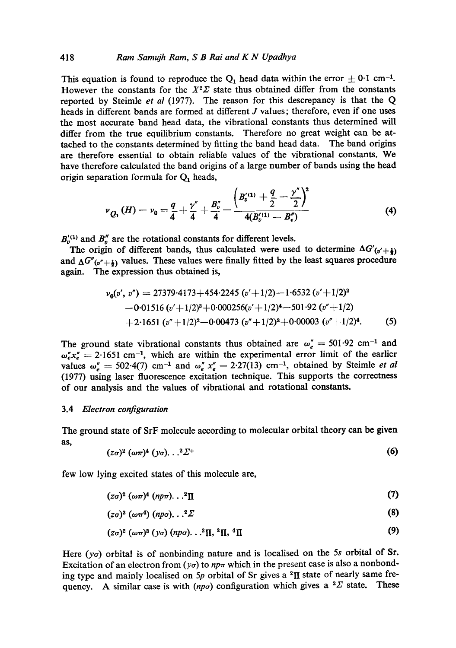## 418 *Ram Samujh Ram, S B Rai and K N Upadhya*

This equation is found to reproduce the  $Q_1$  head data within the error  $\pm$  0.1 cm<sup>-1</sup>. However the constants for the  $X^2\Sigma$  state thus obtained differ from the constants reported by Steimle *et al* (1977). The reason for this descrepancy is that the Q heads in different bands are formed at different J values; therefore, even if one uses the most accurate band head data, the vibrational constants thus determined will differ from the true equilibrium constants. Therefore no great weight can be attached to the constants determined by fitting the band head data. The band origins are therefore essential to obtain reliable values of the vibrational constants. We have therefore calculated the band origins of a large number of bands using the head origin separation formula for  $Q_1$  heads,

$$
\nu_{Q_1}(H) - \nu_0 = \frac{q}{4} + \frac{\gamma''}{4} + \frac{B_v''}{4} - \frac{\left(B_v'^{(1)} + \frac{q}{2} - \frac{\gamma''}{2}\right)^2}{4(B_v'^{(1)} - B_v'')}
$$
\n(4)

 $B<sub>v</sub><sup>'(1)</sup>$  and  $B''<sub>v</sub>$  are the rotational constants for different levels.

The origin of different bands, thus calculated were used to determine  $\Delta G'(\nu'+\frac{1}{2})$ and  $\Delta G''(v''+\frac{1}{2})$  values. These values were finally fitted by the least squares procedure again. The expression thus obtained is,

$$
\nu_0(v', v'') = 27379.4173 + 454.2245 (v' + 1/2) - 1.6532 (v' + 1/2)^2
$$
  
-0.01516 (v' + 1/2)<sup>3</sup>+0.000256(v' + 1/2)<sup>4</sup>-501.92 (v'' + 1/2)  
+2.1651 (v'' + 1/2)<sup>2</sup>-0.00473 (v'' + 1/2)<sup>3</sup>+0.00003 (v'' + 1/2)<sup>4</sup>. (5)

The ground state vibrational constants thus obtained are  $\omega_{e}'' = 501.92$  cm<sup>-1</sup> and  $\omega_{\epsilon}'' x_{\epsilon}'' = 2.1651$  cm<sup>-1</sup>, which are within the experimental error limit of the earlier values  $\omega_e'' = 502.4(7)$  cm<sup>-1</sup> and  $\omega_e'' x_e'' = 2.27(13)$  cm<sup>-1</sup>, obtained by Steimle *et al* (1977) using laser fluorescence excitation technique. This supports the correctness of our analysis and the values of vibrational and rotational constants.

# 3.4 *Electron configuration*

The ground state of SrF molecule according to molecular orbital theory can be given as,

$$
(z\sigma)^2\left(\omega\pi\right)^4\left(y\sigma\right)\ldots^2\mathcal{L}^+\tag{6}
$$

few low lying excited states of this molecule are,

$$
(z\sigma)^2 \left(\omega \pi\right)^4 \left(n p \pi\right) \ldots^2 \Pi \tag{7}
$$

$$
(z\sigma)^2 \left(\omega \pi^4\right) \left(n p \sigma\right) \ldots^2 \Sigma \tag{8}
$$

$$
(z\sigma)^2 \left(\omega \pi\right)^3 \left(\gamma \sigma\right) \left(n p \sigma\right) \ldots^2 \Pi,^2 \Pi,^4 \Pi \tag{9}
$$

Here  $(y\sigma)$  orbital is of nonbinding nature and is localised on the 5s orbital of Sr. Excitation of an electron from  $(y\sigma)$  to  $np\pi$  which in the present case is also a nonbonding type and mainly localised on  $5p$  orbital of Sr gives a  $2\Pi$  state of nearly same frequency. A similar case is with  $(np\sigma)$  configuration which gives a <sup>2</sup> $\Sigma$  state. These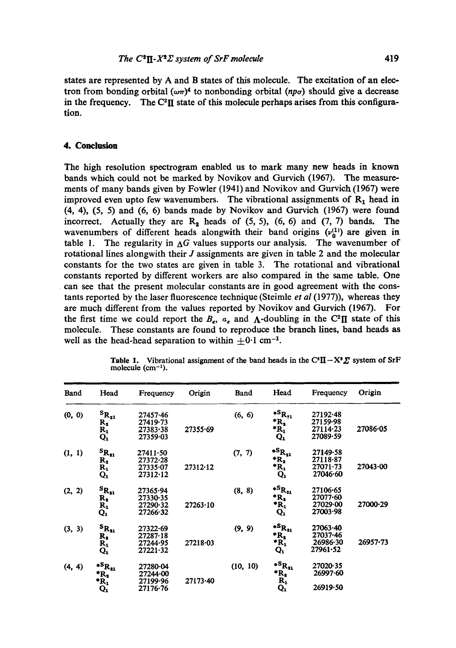states are represented by A and B states of this molecule. The excitation of an electron from bonding orbital  $(\omega\pi)^4$  to nonbonding orbital *(np<sub>o</sub>)* should give a decrease in the frequency. The  $C^2\Pi$  state of this molecule perhaps arises from this configuration.

# **4. Conclusion**

The high resolution spectrogram enabled us to mark many new heads in known bands which could not be marked by Novikov and Gurvich (1967). The measurements of many bands given by Fowler (1941) and Novikov and Gurvich (1967) were improved even upto few wavenumbers. The vibrational assignments of  $R_1$  head in  $(4, 4)$ ,  $(5, 5)$  and  $(6, 6)$  bands made by Novikov and Gurvich  $(1967)$  were found incorrect. Actually they are  $R_2$  heads of  $(5, 5)$ ,  $(6, 6)$  and  $(7, 7)$  bands. The wavenumbers of different heads alongwith their band origins  $(v_0^{(1)})$  are given in table 1. The regularity in  $\Delta G$  values supports our analysis. The wavenumber of rotational lines alongwith their J assignments are given in table 2 and the molecular constants for the two states are given in table 3. The rotational and vibrational constants reported by different workers are also compared in the same table. One can see that the present molecular constants are in good agreement with the constants reported by the laser fluorescence technique (Steimle *et al* 0977)), whereas they are much different from the values reported by Novikov and Gurvich (1967). For the first time we could report the  $B_e$ ,  $a_e$  and  $\Lambda$ -doubling in the C<sup>2</sup>II state of this molecule. These constants are found to reproduce the branch lines, band heads as well as the head-head separation to within  $\pm 0.1$  cm<sup>-1</sup>.

| Band   | Head                                                                         | Frequency                                                | Origin           | Band     | Head                                                                                                 | Frequency                                        | Origin       |
|--------|------------------------------------------------------------------------------|----------------------------------------------------------|------------------|----------|------------------------------------------------------------------------------------------------------|--------------------------------------------------|--------------|
| (0, 0) | $\mathbf{^{S}R_{21}}$<br>$R_{2}$<br>$\mathbf{R}_{1}$<br>$Q_1$                | 27457.46<br>$27419 - 73$<br>27383.38<br>27359-03         | 27355.69         | (6, 6)   | ${}^{\ast \texttt{S}} \texttt{R}_{\texttt{?1}}$<br>$*_{R_2}$<br>$\boldsymbol{R_1}$<br>$\mathbf{Q}_1$ | 27192-48<br>27159-98<br>$27114 - 23$<br>27089.59 | 27086.05     |
| (1, 1) | ${}^5R_{21}$<br>R,<br>$\mathbf{R}_1$<br>$\mathbf{Q}_1$                       | $27411 - 50$<br>27372-28<br>27335.07<br>$27312 \cdot 12$ | 27312.12         | (7, 7)   | ${}^{\star \texttt{S}} \texttt{R}_{\texttt{11}}$<br><b>*R</b> ,<br>*R,<br>$Q_{1}$                    | 27149.58<br>27118-87<br>27071.73<br>27046-60     | 27043.00     |
| (2, 2) | ${}^{\mathbf{S}}\mathbf{R}_{\mathbf{31}}$<br>R,<br>$R_{1}$<br>$\mathbf{Q_1}$ | 27365.94<br>27330-35<br>27290.32<br>27266.32             | $27263 \cdot 10$ | (8, 8)   | ${}^{\ast}{}^{\mathbf{S}}\mathbf{R}_{\mathbf{21}}$<br>*R,<br>*R,<br>$Q_{1}$                          | 27106-65<br>$27077 - 60$<br>27029.00<br>27003.98 | 27000-29     |
| (3, 3) | $S_{R_{21}}$<br>R,<br>$R_{1}$<br>$\mathbf{Q}_1$                              | 27322.69<br>$27287 - 18$<br>27244.95<br>27221.32         | 27218.03         | (9, 9)   | ${}^{\star \texttt{S}}\texttt{R}_{\texttt{21}}$<br>*R,<br>$\boldsymbol{R}_1$<br>$\mathbf{Q}_1$       | $27063 - 40$<br>27037-46<br>26986.30<br>27961-52 | $26957 - 73$ |
| (4, 4) | ${}^{\ast}\mathbf{S}_{\mathbf{R_{21}}}$<br>*R,<br>*R,<br>$\mathbf{Q_1}$      | 27280-04<br>27244.00<br>27199.96<br>27176-76             | 27173.40         | (10, 10) | ${}^{\ast}{}^{\mathbf{S}}\mathbf{R}_{\mathbf{a}\mathbf{1}}$<br>*R,<br>$\mathbf{R_{1}}$<br>$Q_1$      | 27020-35<br>26997-60<br>26919.50                 |              |

**Table 1.** Vibrational assignment of the band heads in the  $C^2I - X^2Z$  system of SrF molecule  $(cm<sup>-1</sup>)$ .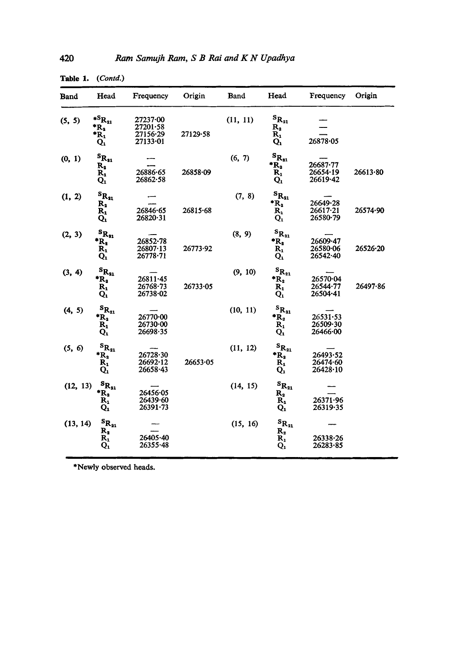| Band     | Head                                                                                | Frequency Origin                                 |          | Band     | Head                                                                          | Frequency Origin                     |          |
|----------|-------------------------------------------------------------------------------------|--------------------------------------------------|----------|----------|-------------------------------------------------------------------------------|--------------------------------------|----------|
| (5, 5)   | ${}^{\ast}\mathbf{S}_{\mathbf{R_{21}}}$<br>$R_2$<br>$^*R_1$<br>$Q_1$                | 27237·00<br>27201.58<br>27156.29<br>$27133 - 01$ | 27129.58 | (11, 11) | ${}^{\mathbf{S}}\mathbf{R_{21}}$<br>$R_{2}$<br>$R_{1}$<br>$\mathbf{Q_1}$      | 26878.05                             |          |
| (0, 1)   | ${}^{\mathbf{S}}\mathbf{R}_{31}$<br>$R_{2}$<br>$R_{1}$<br>$\mathbf{Q_1}$            | 26886-65<br>26862.58                             | 26858.09 | (6, 7)   | $\mathbf{s}_{\mathbf{R_{21}}}$<br>$R_{2}$<br>$R_{1}$<br>$Q_{1}$               | $26687 - 77$<br>26654•19<br>26619.42 | 26613.80 |
| (1, 2)   | ${}^{\mathbf{S}}\mathbf{R}_{21}$<br>$R_{2}$<br>$\mathbf{R}_1$<br>$\mathbf{Q_1}$     | 26846.65<br>26820.31                             | 26815.68 | (7, 8)   | ${}^5R_{21}$<br>$\mathbf{R}_{2}$<br>$R_{1}$<br>$Q_1$                          | 26649.28<br>$26617 - 21$<br>26580-79 | 26574.90 |
| (2, 3)   | $\mathbf{s}_{\mathbf{R_{21}}}$<br>$\boldsymbol{R_3}$<br>$\mathbf{R_{1}}$<br>$Q_{1}$ | $26852 - 78$<br>26807.13<br>26778.71             | 26773.92 | (8, 9)   | $\mathbf{^{S}R_{21}}$<br>$^*R_2$<br>$R_{1}$<br>$Q_{1}$                        | 26609.47<br>26580.06<br>26542.40     | 26526-20 |
| (3, 4)   | $\mathbf{^{S}R_{s1}}$<br>*R,<br>$\mathbf{R}_{1}$<br>$Q_{1}$                         | $26811 - 45$<br>$26768 - 73$<br>26738.02         | 26733.05 | (9, 10)  | $\mathbf{^{S}R_{21}}$<br>$\mathbf{R}_{2}$<br>$R_1$<br>$\mathbf{Q}_1$          | 26570.04<br>26544.77<br>$26504 - 41$ | 26497.86 |
| (4, 5)   | $\mathbf{s}_{\mathbf{R_{21}}}$<br>*R,<br>$R_{1}$<br>$Q_{1}$                         | 26770.00<br>26730-00<br>26698.35                 |          | (10, 11) | ${}^{\text{S}}\text{R}_{21}$<br>$^{\ast}$ R $_{2}$<br>$R_1$<br>$\mathbf{Q_1}$ | 26531.53<br>26509.30<br>26466.00     |          |
| (5, 6)   | $\mathbf{s_{R_{21}}}$<br>$*_{R_2}$<br>$\mathbf{R}_{1}$<br>$\mathbf{Q}_1$            | 26728.30<br>26692.12<br>$26658 - 43$             | 26653.05 | (11, 12) | $\mathbf{s_{R_{21}}}$<br>*R,<br>$R_{1}$<br>$\mathbf{Q}_1$                     | 26493.52<br>26474.60<br>26428.10     |          |
| (12, 13) | $\mathbf{s}_{\mathbf{R_{21}}}$<br>*R,<br>$R_1$<br>$Q_{1}$                           | 26456.05<br>26439.60<br>$26391 - 73$             |          | (14, 15) | ${}^{\mathbf{S}}\mathbf{R_{21}}$<br>$R_{2}$<br>$R_{1}$<br>$Q_1$               | 26371.96<br>26319-35                 |          |
| (13, 14) | $\mathbf{s}_{\mathbf{R_{21}}}$<br>$R_{2}$<br>$\mathbf{R}_{1}$<br>$Q_1$              | 26405.40<br>$26355 - 48$                         |          | (15, 16) | ${}^{\bf S}{\bf R}_{21}$<br>$R_{2}$<br>$R_{1}$<br>$Q_1$                       | 26338-26<br>26283.85                 |          |

Table 1. *(Contd.)* 

\*Newly observed heads.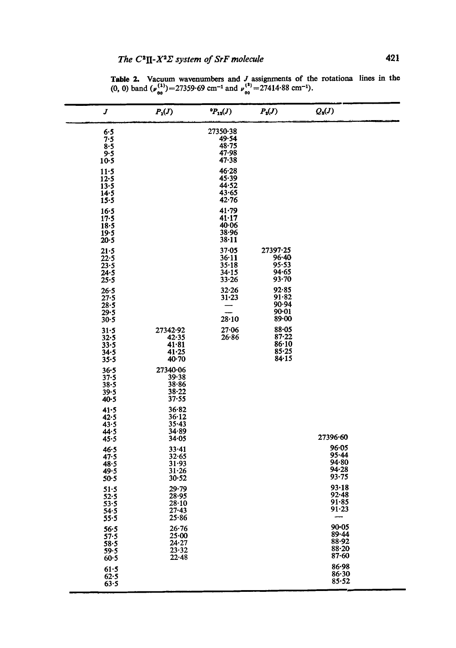| J                                              | $P_1(J)$                                                 | ${}^{\rm o} \! P_{\rm 12}(J)$                         | $P_2(J)$                                             | $Q_{\rm s}(J)$                                        |  |
|------------------------------------------------|----------------------------------------------------------|-------------------------------------------------------|------------------------------------------------------|-------------------------------------------------------|--|
| 6.5<br>7.5<br>8.5<br>9.5<br>$10-5$<br>$11-5$   |                                                          | 27350-38<br>49.54<br>48.75<br>47.98<br>47.38<br>46.28 |                                                      |                                                       |  |
| $12-5$<br>13.5<br>14.5<br>$15 - 5$             |                                                          | 45.39<br>44.52<br>43.65<br>42.76                      |                                                      |                                                       |  |
| 16.5<br>17.5<br>18.5<br>19.5<br>20.5           |                                                          | 41.79<br>41.17<br>40.06<br>38.96<br>$38 - 11$         |                                                      |                                                       |  |
| 21.5<br>22.5<br>23.5<br>24.5<br>25.5           |                                                          | $37 - 05$<br>36.11<br>$35 - 18$<br>34.15<br>$33 - 26$ | 27397.25<br>$96 - 40$<br>95.53<br>94.65<br>$93 - 70$ |                                                       |  |
| 26.5<br>$27 - 5$<br>$28 - 5$<br>29.5<br>30.5   |                                                          | 32.26<br>$31 - 23$<br>28.10                           | 92.85<br>91.82<br>90.94<br>90.01<br>89.00            |                                                       |  |
| $31-5$<br>32.5<br>33.5<br>$34 - 5$<br>$35 - 5$ | 27342.92<br>42.35<br>41.81<br>41.25<br>$40-70$           | 27.06<br>26.86                                        | $88 - 05$<br>87.22<br>86.10<br>$85 - 25$<br>84.15    |                                                       |  |
| $36 - 5$<br>37.5<br>$38 - 5$<br>39.5<br>40.5   | 27340.06<br>39.38<br>$38 - 86$<br>$38 - 22$<br>$37 - 55$ |                                                       |                                                      |                                                       |  |
| 41.5<br>42.5<br>43.5<br>44.5<br>45.5           | $36 - 82$<br>36.12<br>$35 - 43$<br>34.89<br>34.05        |                                                       |                                                      | 27396.60                                              |  |
| 46.5<br>47.5<br>48.5<br>49.5<br>$50 - 5$       | 33.41<br>32.65<br>$31 - 93$<br>$31 - 26$<br>$30 - 52$    |                                                       |                                                      | 96.05<br>95.44<br>94.80<br>94.28<br>$93 - 75$         |  |
| 51.5<br>52.5<br>53.5<br>54.5<br>55.5           | $29 - 79$<br>28.95<br>$28 - 10$<br>$27 - 43$<br>25.86    |                                                       |                                                      | 93.18<br>$92 - 48$<br>$91 - 85$<br>$91 - 23$          |  |
| 56.5<br>$57 - 5$<br>58.5<br>59.5<br>60.5       | $26 - 76$<br>25.00<br>24.27<br>$23 - 32$<br>22.48        |                                                       |                                                      | $90 - 05$<br>89.44<br>88.92<br>$88 - 20$<br>$87 - 60$ |  |
| 61.5<br>62.5<br>63.5                           |                                                          |                                                       |                                                      | 86.98<br>86.30<br>$85 - 52$                           |  |

**Table 2. Vacuum wavenumbers and J assignments of the rotationa lines in the**   $(0, 0)$  band  $(\nu_{\infty}^{+1}) = 27359.69$  cm<sup>-1</sup> and  $\nu_{\infty}^{+1} = 27414.88$  cm<sup>-1</sup>).